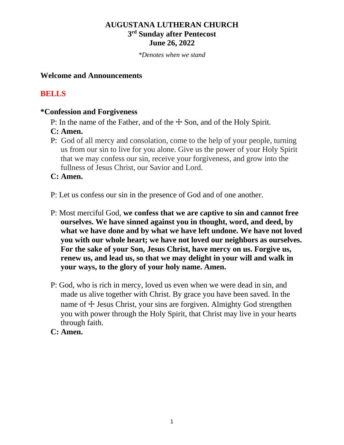### **AUGUSTANA LUTHERAN CHURCH 3 rd Sunday after Pentecost June 26, 2022**

*\*Denotes when we stand*

#### **Welcome and Announcements**

## **BELLS**

#### **\*Confession and Forgiveness**

- P: In the name of the Father, and of the  $\pm$  Son, and of the Holy Spirit.
- **C: Amen.**
- P: God of all mercy and consolation, come to the help of your people, turning us from our sin to live for you alone. Give us the power of your Holy Spirit that we may confess our sin, receive your forgiveness, and grow into the fullness of Jesus Christ, our Savior and Lord.

#### **C: Amen.**

P: Let us confess our sin in the presence of God and of one another.

- P: Most merciful God, **we confess that we are captive to sin and cannot free ourselves. We have sinned against you in thought, word, and deed, by what we have done and by what we have left undone. We have not loved you with our whole heart; we have not loved our neighbors as ourselves. For the sake of your Son, Jesus Christ, have mercy on us. Forgive us, renew us, and lead us, so that we may delight in your will and walk in your ways, to the glory of your holy name. Amen.**
- P: God, who is rich in mercy, loved us even when we were dead in sin, and made us alive together with Christ. By grace you have been saved. In the name of  $\pm$  Jesus Christ, your sins are forgiven. Almighty God strengthen you with power through the Holy Spirit, that Christ may live in your hearts through faith.
- **C: Amen.**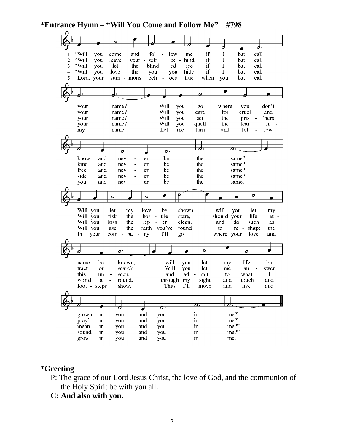**\*Entrance Hymn – "Will You Come and Follow Me" #798** ᆉ "Will  $\mathbf I$ come and fol  $\mathbb{Z}$  $low$ me if but call  $\overline{1}$ you "Will self be hind if  $\bf I$ call  $\overline{2}$ you leave your but "Will you let the blind ed if  $\mathbf I$ but call 3 see  $\lq\lq$  Will  $\overline{4}$ you love the you you hide if  $\bf{I}$ but call  $ech$ when call 5 Lord, your sum - mons oes true you but  $\overline{\phantom{a}}$  $\overline{\boldsymbol{d}}$  $\overline{\boldsymbol{\phi}}$ ग् Will name? where you don't your you go name? Will for cruel and your you care Will your name? you set the pris 'ners name? Will the fear  $in$ your you quell fol my name. Let me turn and low  $\overline{\phantom{a}}$  $\overline{c}$ ಕ know and nev be the same? er kind be same? and nev  $er$ the free and nev be the same? er the side and nev  $er$ be same? be the you and nev er same. Will you let love be shown, will let my you my Will you risk the hos  $\sim$ tile stare, should your life  $at -$ Will you kiss the  $\omega$ clean, and do such  $lep$ er  $as$ Will you the faith found shape use you've to re the In your  $\operatorname{com}$  $\sim$ pa ny  $\Gamma$ ll go where your love and  $\overline{\phantom{a}}$  $\overline{\boldsymbol{d}}$ will let life name be known, you my be Will tract  $\alpha$ scare? you let me  ${\rm an}$ swer this un  $\overline{\phantom{a}}$ seen, and ad mit to what I  $\ddot{\phantom{a}}$ world  $\bf a$ round, through my sight and touch and foot - steps I'll show. **Thus** move and live and J  $\overline{\phantom{a}}$  $\overline{\phantom{a}}$ न्न grown in you and you in me?" me?" pray'r in you and you in me?" mean in you and you in sound you and you in me?" in grow in you and you in me.

### **\*Greeting**

- P: The grace of our Lord Jesus Christ, the love of God, and the communion of the Holy Spirit be with you all.
- **C: And also with you.**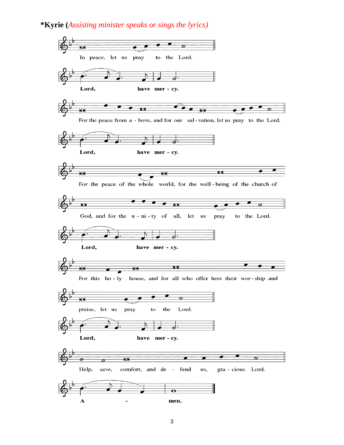#### **\*Kyrie (***Assisting minister speaks or sings the lyrics)*

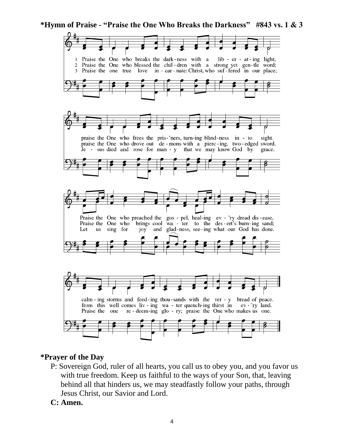#### **\*Hymn of Praise - "Praise the One Who Breaks the Darkness" #843 vs. 1 & 3**



#### **\*Prayer of the Day**

P: Sovereign God, ruler of all hearts, you call us to obey you, and you favor us with true freedom. Keep us faithful to the ways of your Son, that, leaving behind all that hinders us, we may steadfastly follow your paths, through Jesus Christ, our Savior and Lord.

#### **C: Amen.**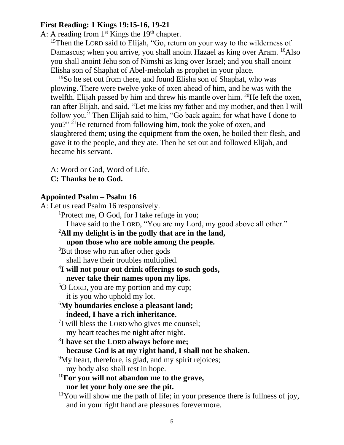### **First Reading: 1 Kings 19:15-16, 19-21**

A: A reading from  $1<sup>st</sup>$  Kings the  $19<sup>th</sup>$  chapter.

<sup>15</sup>Then the LORD said to Elijah, "Go, return on your way to the wilderness of Damascus; when you arrive, you shall anoint Hazael as king over Aram. <sup>16</sup>Also you shall anoint Jehu son of Nimshi as king over Israel; and you shall anoint Elisha son of Shaphat of Abel-meholah as prophet in your place.

 $19$ So he set out from there, and found Elisha son of Shaphat, who was plowing. There were twelve yoke of oxen ahead of him, and he was with the twelfth. Elijah passed by him and threw his mantle over him. <sup>20</sup>He left the oxen, ran after Elijah, and said, "Let me kiss my father and my mother, and then I will follow you." Then Elijah said to him, "Go back again; for what have I done to you?" <sup>21</sup>He returned from following him, took the yoke of oxen, and slaughtered them; using the equipment from the oxen, he boiled their flesh, and gave it to the people, and they ate. Then he set out and followed Elijah, and became his servant.

A: Word or God, Word of Life.

**C: Thanks be to God.**

## **Appointed Psalm – Psalm 16**

A: Let us read Psalm 16 responsively. <sup>1</sup>Protect me, O God, for I take refuge in you; I have said to the LORD, "You are my Lord, my good above all other." <sup>2</sup>**All my delight is in the godly that are in the land, upon those who are noble among the people.** <sup>3</sup>But those who run after other gods shall have their troubles multiplied. 4 **I will not pour out drink offerings to such gods, never take their names upon my lips.** <sup>5</sup>O LORD, you are my portion and my cup; it is you who uphold my lot. <sup>6</sup>**My boundaries enclose a pleasant land; indeed, I have a rich inheritance.** <sup>7</sup>I will bless the LORD who gives me counsel; my heart teaches me night after night. 8 **I have set the LORD always before me; because God is at my right hand, I shall not be shaken.** <sup>9</sup>My heart, therefore, is glad, and my spirit rejoices; my body also shall rest in hope. <sup>10</sup>**For you will not abandon me to the grave, nor let your holy one see the pit.**  $11$ You will show me the path of life; in your presence there is fullness of joy, and in your right hand are pleasures forevermore.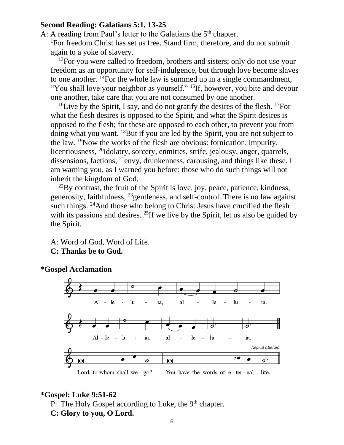#### **Second Reading: Galatians 5:1, 13-25**

A: A reading from Paul's letter to the Galatians the  $5<sup>th</sup>$  chapter.

<sup>1</sup>For freedom Christ has set us free. Stand firm, therefore, and do not submit again to a yoke of slavery.

 $13$ For you were called to freedom, brothers and sisters; only do not use your freedom as an opportunity for self-indulgence, but through love become slaves to one another.  $^{14}$ For the whole law is summed up in a single commandment, "You shall love your neighbor as yourself." <sup>15</sup>If, however, you bite and devour one another, take care that you are not consumed by one another.

<sup>16</sup>Live by the Spirit, I say, and do not gratify the desires of the flesh. <sup>17</sup>For what the flesh desires is opposed to the Spirit, and what the Spirit desires is opposed to the flesh; for these are opposed to each other, to prevent you from doing what you want. <sup>18</sup>But if you are led by the Spirit, you are not subject to the law. <sup>19</sup>Now the works of the flesh are obvious: fornication, impurity, licentiousness, <sup>20</sup>idolatry, sorcery, enmities, strife, jealousy, anger, quarrels, dissensions, factions,  $^{21}$ envy, drunkenness, carousing, and things like these. I am warning you, as I warned you before: those who do such things will not inherit the kingdom of God.

 $^{22}$ By contrast, the fruit of the Spirit is love, joy, peace, patience, kindness, generosity, faithfulness,  $^{23}$ gentleness, and self-control. There is no law against such things.  $24$ And those who belong to Christ Jesus have crucified the flesh with its passions and desires. <sup>25</sup>If we live by the Spirit, let us also be guided by the Spirit.

A: Word of God, Word of Life. **C: Thanks be to God.**

**\*Gospel Acclamation**



#### **\*Gospel: Luke 9:51-62**

- P: The Holy Gospel according to Luke, the  $9<sup>th</sup>$  chapter.
- **C: Glory to you, O Lord.**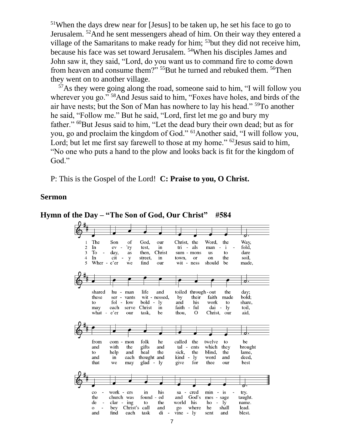$51$ When the days drew near for [Jesus] to be taken up, he set his face to go to Jerusalem. <sup>52</sup>And he sent messengers ahead of him. On their way they entered a village of the Samaritans to make ready for him;  $53$  but they did not receive him, because his face was set toward Jerusalem. <sup>54</sup>When his disciples James and John saw it, they said, "Lord, do you want us to command fire to come down from heaven and consume them?" <sup>55</sup>But he turned and rebuked them. <sup>56</sup>Then they went on to another village.

<sup>57</sup>As they were going along the road, someone said to him, "I will follow you wherever you go." <sup>58</sup>And Jesus said to him, "Foxes have holes, and birds of the air have nests; but the Son of Man has nowhere to lay his head." <sup>59</sup>To another he said, "Follow me." But he said, "Lord, first let me go and bury my father." <sup>60</sup>But Jesus said to him, "Let the dead bury their own dead; but as for you, go and proclaim the kingdom of God." <sup>61</sup>Another said, "I will follow you, Lord; but let me first say farewell to those at my home." <sup>62</sup> Jesus said to him, "No one who puts a hand to the plow and looks back is fit for the kingdom of God."

P: This is the Gospel of the Lord! **C: Praise to you, O Christ.**

#### **Sermon**



**Hymn of the Day – "The Son of God, Our Christ" #584**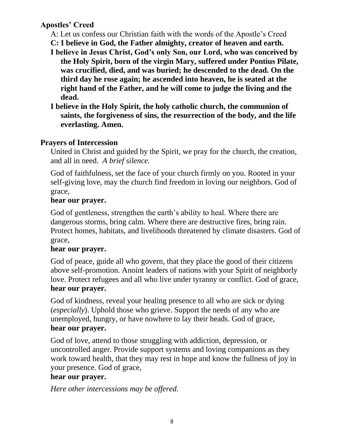# **Apostles' Creed**

- A: Let us confess our Christian faith with the words of the Apostle's Creed
- **C: I believe in God, the Father almighty, creator of heaven and earth.**
- **I believe in Jesus Christ, God's only Son, our Lord, who was conceived by the Holy Spirit, born of the virgin Mary, suffered under Pontius Pilate, was crucified, died, and was buried; he descended to the dead. On the third day he rose again; he ascended into heaven, he is seated at the right hand of the Father, and he will come to judge the living and the dead.**
- **I believe in the Holy Spirit, the holy catholic church, the communion of saints, the forgiveness of sins, the resurrection of the body, and the life everlasting. Amen.**

# **Prayers of Intercession**

United in Christ and guided by the Spirit, we pray for the church, the creation, and all in need. *A brief silence.*

God of faithfulness, set the face of your church firmly on you. Rooted in your self-giving love, may the church find freedom in loving our neighbors. God of grace,

## **hear our prayer.**

God of gentleness, strengthen the earth's ability to heal. Where there are dangerous storms, bring calm. Where there are destructive fires, bring rain. Protect homes, habitats, and livelihoods threatened by climate disasters. God of grace,

### **hear our prayer.**

God of peace, guide all who govern, that they place the good of their citizens above self-promotion. Anoint leaders of nations with your Spirit of neighborly love. Protect refugees and all who live under tyranny or conflict. God of grace, **hear our prayer.**

God of kindness, reveal your healing presence to all who are sick or dying (*especially*). Uphold those who grieve. Support the needs of any who are unemployed, hungry, or have nowhere to lay their heads. God of grace, **hear our prayer.**

God of love, attend to those struggling with addiction, depression, or uncontrolled anger. Provide support systems and loving companions as they work toward health, that they may rest in hope and know the fullness of joy in your presence. God of grace,

## **hear our prayer.**

*Here other intercessions may be offered.*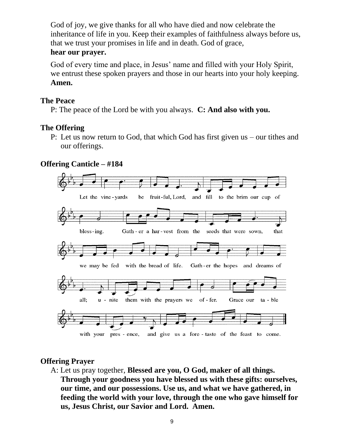God of joy, we give thanks for all who have died and now celebrate the inheritance of life in you. Keep their examples of faithfulness always before us, that we trust your promises in life and in death. God of grace,

## **hear our prayer.**

God of every time and place, in Jesus' name and filled with your Holy Spirit, we entrust these spoken prayers and those in our hearts into your holy keeping. **Amen.**

## **The Peace**

P: The peace of the Lord be with you always. **C: And also with you.**

## **The Offering**

P: Let us now return to God, that which God has first given us – our tithes and our offerings.

# **Offering Canticle – #184**



## **Offering Prayer**

A: Let us pray together, **Blessed are you, O God, maker of all things. Through your goodness you have blessed us with these gifts: ourselves, our time, and our possessions. Use us, and what we have gathered, in feeding the world with your love, through the one who gave himself for us, Jesus Christ, our Savior and Lord. Amen.**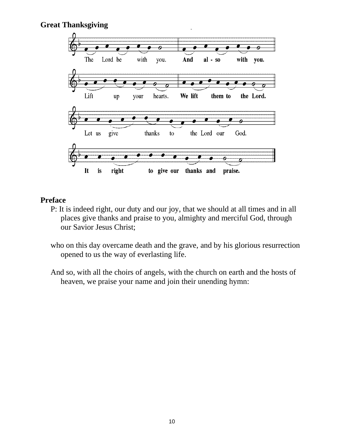#### **Great Thanksgiving**



### **Preface**

- P: It is indeed right, our duty and our joy, that we should at all times and in all places give thanks and praise to you, almighty and merciful God, through our Savior Jesus Christ;
- who on this day overcame death and the grave, and by his glorious resurrection opened to us the way of everlasting life.
- And so, with all the choirs of angels, with the church on earth and the hosts of heaven, we praise your name and join their unending hymn: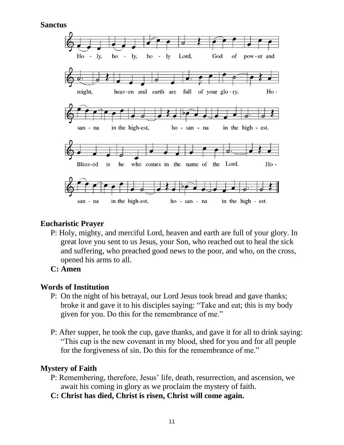**Sanctus**



### **Eucharistic Prayer**

- P: Holy, mighty, and merciful Lord, heaven and earth are full of your glory. In great love you sent to us Jesus, your Son, who reached out to heal the sick and suffering, who preached good news to the poor, and who, on the cross, opened his arms to all.
- **C: Amen**

#### **Words of Institution**

- P: On the night of his betrayal, our Lord Jesus took bread and gave thanks; broke it and gave it to his disciples saying: "Take and eat; this is my body given for you. Do this for the remembrance of me."
- P: After supper, he took the cup, gave thanks, and gave it for all to drink saying: "This cup is the new covenant in my blood, shed for you and for all people for the forgiveness of sin. Do this for the remembrance of me."

### **Mystery of Faith**

- P: Remembering, therefore, Jesus' life, death, resurrection, and ascension, we await his coming in glory as we proclaim the mystery of faith.
- **C: Christ has died, Christ is risen, Christ will come again.**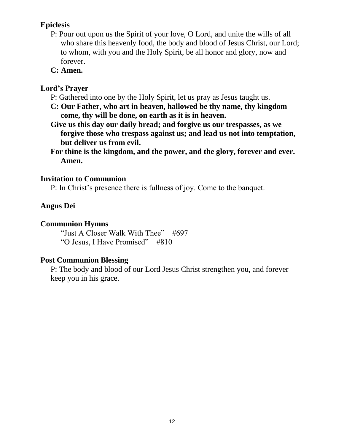## **Epiclesis**

- P: Pour out upon us the Spirit of your love, O Lord, and unite the wills of all who share this heavenly food, the body and blood of Jesus Christ, our Lord; to whom, with you and the Holy Spirit, be all honor and glory, now and forever.
- **C: Amen.**

## **Lord's Prayer**

- P: Gathered into one by the Holy Spirit, let us pray as Jesus taught us.
- **C: Our Father, who art in heaven, hallowed be thy name, thy kingdom come, thy will be done, on earth as it is in heaven.**
- **Give us this day our daily bread; and forgive us our trespasses, as we forgive those who trespass against us; and lead us not into temptation, but deliver us from evil.**
- **For thine is the kingdom, and the power, and the glory, forever and ever. Amen.**

### **Invitation to Communion**

P: In Christ's presence there is fullness of joy. Come to the banquet.

## **Angus Dei**

### **Communion Hymns**

"Just A Closer Walk With Thee" #697 "O Jesus, I Have Promised" #810

## **Post Communion Blessing**

P: The body and blood of our Lord Jesus Christ strengthen you, and forever keep you in his grace.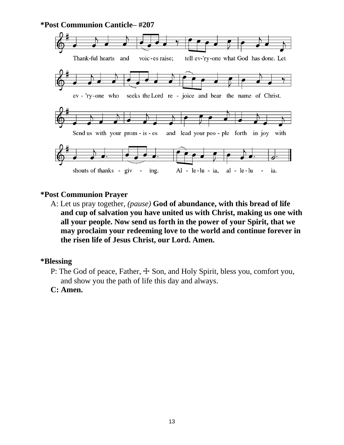**\*Post Communion Canticle– #207**



#### **\*Post Communion Prayer**

A: Let us pray together, *(pause)* **God of abundance, with this bread of life and cup of salvation you have united us with Christ, making us one with all your people. Now send us forth in the power of your Spirit, that we may proclaim your redeeming love to the world and continue forever in the risen life of Jesus Christ, our Lord. Amen.**

#### **\*Blessing**

P: The God of peace, Father,  $\pm$  Son, and Holy Spirit, bless you, comfort you, and show you the path of life this day and always.

**C: Amen.**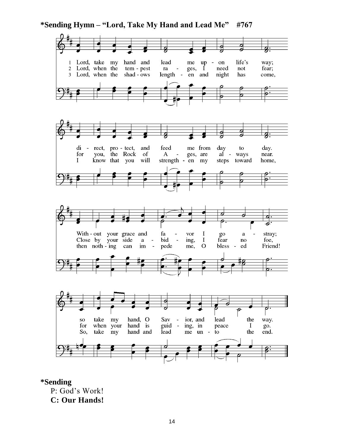**\*Sending Hymn – "Lord, Take My Hand and Lead Me" #767**



**\*Sending** P: God's Work! **C: Our Hands!**